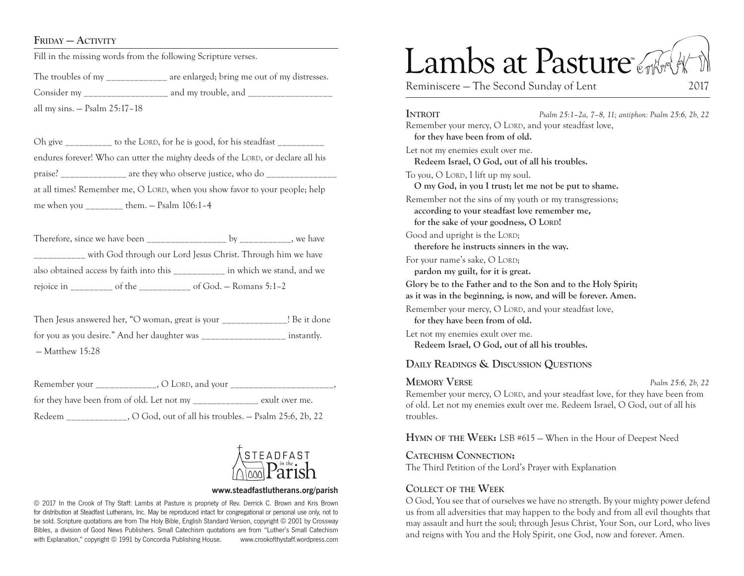### FRIDAY — ACTIVITY

Fill in the missing words from the following Scripture verses.

The troubles of my are enlarged; bring me out of my distresses. Consider my \_\_\_\_\_\_\_\_\_\_\_\_\_\_\_\_\_\_ and my trouble, and \_\_\_\_\_\_\_\_\_\_\_\_\_\_\_\_\_\_ all my sins. — Psalm 25:17–18

Oh give to the LORD, for he is good, for his steadfast endures forever! Who can utter the mighty deeds of the LORD, or declare all his praise? are they who observe justice, who do at all times! Remember me, O LORD, when you show favor to your people; help me when you \_\_\_\_\_\_\_\_ them. — Psalm 106:1–4

Therefore, since we have been by by we have with God through our Lord Jesus Christ. Through him we have also obtained access by faith into this \_\_\_\_\_\_\_\_\_\_\_ in which we stand, and we rejoice in \_\_\_\_\_\_\_\_\_ of the \_\_\_\_\_\_\_\_\_\_\_ of God. — Romans 5:1–2

Then Jesus answered her, "O woman, great is your [Be it done for you as you desire." And her daughter was \_\_\_\_\_\_\_\_\_\_\_\_\_\_\_\_\_\_ instantly.  $-M$ atthew 15 $\cdot$ 28

Remember your  $\bigcirc$  C LORD, and your  $\bigcirc$ , for they have been from of old. Let not my \_\_\_\_\_\_\_\_\_\_\_\_\_\_ exult over me. Redeem . O God, out of all his troubles. – Psalm 25:6, 2b, 22



#### **www.steadfastlutherans.org/parish**

© 2017 In the Crook of Thy Staff: Lambs at Pasture is propriety of Rev. Derrick C. Brown and Kris Brown for distribution at Steadfast Lutherans, Inc. May be reproduced intact for congregational or personal use only, not to be sold. Scripture quotations are from The Holy Bible, English Standard Version, copyright © 2001 by Crossway Bibles, a division of Good News Publishers. Small Catechism quotations are from "Luther's Small Catechism with Explanation," copyright © 1991 by Concordia Publishing House. www.crookofthystaff.wordpress.com

# Lambs at Pasture

Reminiscere – The Second Sunday of Lent 2017

**Introit** *Psalm 25:1–2a, 7–8, 11; antiphon: Psalm 25:6, 2b, 22* Remember your mercy, O LORD, and your steadfast love, **for they have been from of old.**  Let not my enemies exult over me. **Redeem Israel, O God, out of all his troubles.**  To you, O LORD, I lift up my soul. **O my God, in you I trust; let me not be put to shame.**  Remember not the sins of my youth or my transgressions; **according to your steadfast love remember me, for the sake of your goodness, O Lord!**  Good and upright is the LORD; **therefore he instructs sinners in the way.**  For your name's sake, O LORD; **pardon my guilt, for it is great. Glory be to the Father and to the Son and to the Holy Spirit; as it was in the beginning, is now, and will be forever. Amen.** Remember your mercy, O LORD, and your steadfast love, **for they have been from of old.**  Let not my enemies exult over me. **Redeem Israel, O God, out of all his troubles. Daily Readings & Discussion Questions Memory Verse** *Psalm 25:6, 2b, 22*

Remember your mercy, O LORD, and your steadfast love, for they have been from of old. Let not my enemies exult over me. Redeem Israel, O God, out of all his troubles.

**Hymn of the Week:** LSB #615 — When in the Hour of Deepest Need

**Catechism Connection:** The Third Petition of the Lord's Prayer with Explanation

### **Collect of the Week**

O God, You see that of ourselves we have no strength. By your mighty power defend us from all adversities that may happen to the body and from all evil thoughts that may assault and hurt the soul; through Jesus Christ, Your Son, our Lord, who lives and reigns with You and the Holy Spirit, one God, now and forever. Amen.